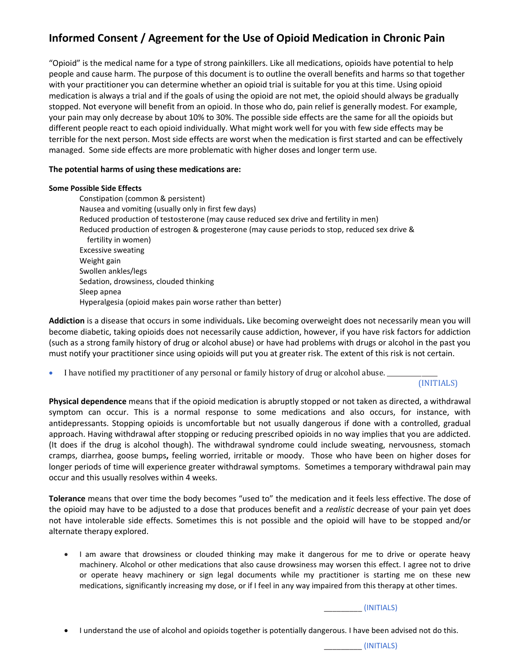# **Informed Consent / Agreement for the Use of Opioid Medication in Chronic Pain**

"Opioid" is the medical name for a type of strong painkillers. Like all medications, opioids have potential to help people and cause harm. The purpose of this document is to outline the overall benefits and harms so that together with your practitioner you can determine whether an opioid trial is suitable for you at this time. Using opioid medication is always a trial and if the goals of using the opioid are not met, the opioid should always be gradually stopped. Not everyone will benefit from an opioid. In those who do, pain relief is generally modest. For example, your pain may only decrease by about 10% to 30%. The possible side effects are the same for all the opioids but different people react to each opioid individually. What might work well for you with few side effects may be terrible for the next person. Most side effects are worst when the medication is first started and can be effectively managed. Some side effects are more problematic with higher doses and longer term use.

## **The potential harms of using these medications are:**

#### **Some Possible Side Effects**

Constipation (common & persistent) Nausea and vomiting (usually only in first few days) Reduced production of testosterone (may cause reduced sex drive and fertility in men) Reduced production of estrogen & progesterone (may cause periods to stop, reduced sex drive & fertility in women) Excessive sweating Weight gain Swollen ankles/legs Sedation, drowsiness, clouded thinking Sleep apnea Hyperalgesia (opioid makes pain worse rather than better)

**Addiction** is a disease that occurs in some individuals**.** Like becoming overweight does not necessarily mean you will become diabetic, taking opioids does not necessarily cause addiction, however, if you have risk factors for addiction (such as a strong family history of drug or alcohol abuse) or have had problems with drugs or alcohol in the past you must notify your practitioner since using opioids will put you at greater risk. The extent of this risk is not certain.

I have notified my practitioner of any personal or family history of drug or alcohol abuse.

(INITIALS)

**Physical dependence** means that if the opioid medication is abruptly stopped or not taken as directed, a withdrawal symptom can occur. This is a normal response to some medications and also occurs, for instance, with antidepressants. Stopping opioids is uncomfortable but not usually dangerous if done with a controlled, gradual approach. Having withdrawal after stopping or reducing prescribed opioids in no way implies that you are addicted. (It does if the drug is alcohol though). The withdrawal syndrome could include sweating, nervousness, stomach cramps, diarrhea, goose bumps**,** feeling worried, irritable or moody. Those who have been on higher doses for longer periods of time will experience greater withdrawal symptoms. Sometimes a temporary withdrawal pain may occur and this usually resolves within 4 weeks.

**Tolerance** means that over time the body becomes "used to" the medication and it feels less effective. The dose of the opioid may have to be adjusted to a dose that produces benefit and a *realistic* decrease of your pain yet does not have intolerable side effects. Sometimes this is not possible and the opioid will have to be stopped and/or alternate therapy explored.

• I am aware that drowsiness or clouded thinking may make it dangerous for me to drive or operate heavy machinery. Alcohol or other medications that also cause drowsiness may worsen this effect. I agree not to drive or operate heavy machinery or sign legal documents while my practitioner is starting me on these new medications, significantly increasing my dose, or if I feel in any way impaired from this therapy at other times.

 $\sqrt{1}$  (INITIALS)

• I understand the use of alcohol and opioids together is potentially dangerous. I have been advised not do this.

\_\_\_\_\_\_\_\_\_ (INITIALS)